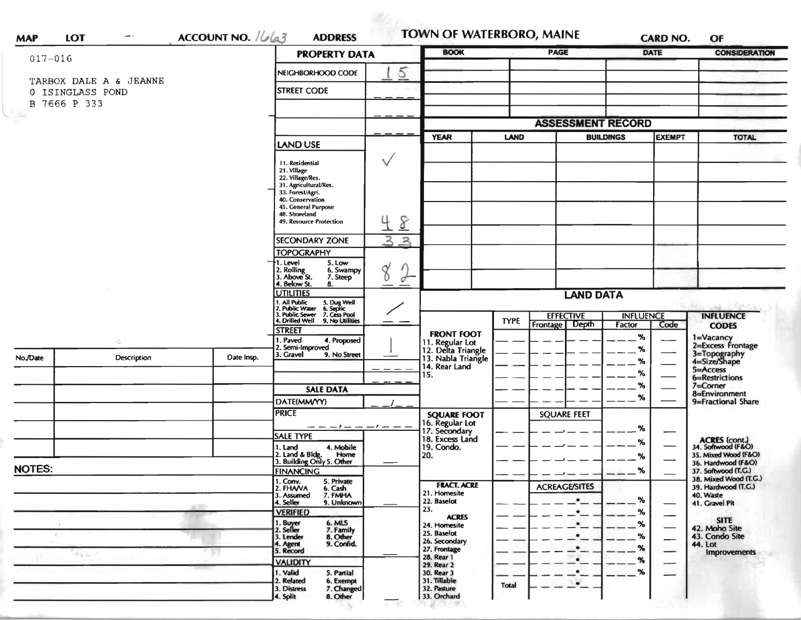| $017 - 016$   |                                            |                    | <b>PROPERTY DATA</b>                                                                                                        |             | <b>BOOK</b>                                                 |                         | <b>PAGE</b>                           |        | <b>DATE</b>   | <b>CONSIDERATION</b>                                        |
|---------------|--------------------------------------------|--------------------|-----------------------------------------------------------------------------------------------------------------------------|-------------|-------------------------------------------------------------|-------------------------|---------------------------------------|--------|---------------|-------------------------------------------------------------|
|               |                                            |                    | NEIGHBORHOOD CODE                                                                                                           | 5           |                                                             |                         |                                       |        |               |                                                             |
|               | TARBOX DALE A & JEANNE<br>0 ISINGLASS POND | <b>STREET CODE</b> |                                                                                                                             |             |                                                             |                         |                                       |        |               |                                                             |
| B 7666 P 333  |                                            |                    |                                                                                                                             |             |                                                             |                         |                                       |        |               |                                                             |
| <b>Simi</b>   |                                            |                    |                                                                                                                             |             |                                                             |                         | <b>ASSESSMENT RECORD</b>              |        |               |                                                             |
|               |                                            |                    |                                                                                                                             |             | <b>YEAR</b>                                                 |                         | <b>LAND</b><br><b>BUILDINGS</b>       |        | <b>EXEMPT</b> | <b>TOTAL</b>                                                |
|               |                                            |                    | <b>LAND USE</b>                                                                                                             |             |                                                             |                         |                                       |        |               |                                                             |
|               |                                            |                    | 11. Residential                                                                                                             | ∨           |                                                             |                         |                                       |        |               |                                                             |
|               |                                            |                    | 21. Village<br>22. Village/Res.                                                                                             |             |                                                             |                         |                                       |        |               |                                                             |
|               |                                            |                    | 31. Agricultural/Res.<br>33. Forest/Agri.                                                                                   |             |                                                             |                         |                                       |        |               |                                                             |
|               |                                            |                    | 40. Conservation<br>45. General Purpose<br>48. Shoreland                                                                    |             |                                                             |                         |                                       |        |               |                                                             |
|               |                                            |                    | 49. Resource Protection                                                                                                     | 8           |                                                             |                         |                                       |        |               |                                                             |
|               |                                            |                    | <b>SECONDARY ZONE</b>                                                                                                       | $\geq$<br>ス |                                                             |                         |                                       |        |               |                                                             |
|               |                                            |                    | <b>TOPOGRAPHY</b>                                                                                                           |             |                                                             |                         |                                       |        |               |                                                             |
|               |                                            |                    | 1. Level<br>5. Low<br>2. Rolling<br>3. Above St.<br>6. Swampy                                                               | 8           |                                                             |                         |                                       |        |               |                                                             |
|               |                                            |                    | 7. Steep<br>4. Below St.<br>8.                                                                                              | ₫           |                                                             |                         |                                       |        |               |                                                             |
|               |                                            |                    | <b>UTILITIES</b>                                                                                                            |             |                                                             | <b>LAND DATA</b>        |                                       |        |               |                                                             |
|               |                                            |                    | 1. All Public 5. Dug Well<br>12. Public Water 6. Septic<br>3. Public Sewer 7. Cess Pool<br>14. Drilled Well 9. No Utilities |             |                                                             |                         | <b>EFFECTIVE</b><br><b>INFLUENCE</b>  |        |               | <b>INFLUENCE</b>                                            |
|               |                                            |                    | <b>STREET</b>                                                                                                               |             | <b>FRONT FOOT</b>                                           | <b>TYPE</b><br>Frontage | <b>Depth</b>                          | Factor | Code          | <b>CODES</b>                                                |
|               | $\mathcal{F}_{\rm int}^{(0)}$              |                    | 1. Paved<br>4. Proposed<br>2. Semi-Improved                                                                                 |             |                                                             |                         |                                       | %<br>% |               | 1=Vacancy<br>2=Excess Frontage                              |
| No./Date      | Description                                | Date Insp.         | 3. Gravel<br>9. No Street                                                                                                   |             | 11. Regular Lot<br>12. Delta Triangle<br>13. Nabla Triangle |                         |                                       | $\%$   |               | 3=Topography<br>4=Size/Shape                                |
|               |                                            |                    |                                                                                                                             |             | 14. Rear Land<br>15.                                        |                         |                                       | %      |               | 5=Access<br>6=Restrictions                                  |
|               |                                            |                    | <b>SALE DATA</b>                                                                                                            |             |                                                             |                         |                                       | %      |               | 7=Corner<br>8=Environment                                   |
|               |                                            |                    | DATE(MM/YY)                                                                                                                 |             |                                                             |                         |                                       | %      |               | 9=Fractional Share                                          |
|               |                                            |                    | <b>PRICE</b>                                                                                                                |             | <b>SQUARE FOOT</b><br>16. Regular Lot                       |                         | <b>SQUARE FEET</b>                    |        |               |                                                             |
|               |                                            |                    | <b>SALE TYPE</b>                                                                                                            |             | 17. Secondary<br>18. Excess Land                            |                         |                                       | $\%$   |               |                                                             |
|               |                                            |                    | 4. Mobile<br>1. Land<br>2. Land & Bldg.<br>Home                                                                             |             | 19. Condo.<br>20.                                           |                         |                                       | %      |               | ACRES (cont.)<br>34. Softwood (F&O)<br>35. Mixed Wood (F&O) |
| <b>NOTES:</b> |                                            |                    | 3. Building Only 5. Other                                                                                                   |             |                                                             |                         |                                       | %      |               | 36. Hardwood (F&O)                                          |
|               |                                            |                    | <b>FINANCING</b><br>1. Conv.<br>5. Private                                                                                  |             | <b>FRACT. ACRE</b>                                          |                         |                                       | $\%$   |               | 37. Softwood (T.G.)<br>38. Mixed Wood (T.G.)                |
|               |                                            |                    | 2. FHAVA<br>6. Cash<br>7. FMHA<br>3. Assumed                                                                                |             | 21. Homesite                                                |                         | <b>ACREAGE/SITES</b><br>$\bullet$     | %      |               | 39. Hardwood (T.G.)<br>40. Waste                            |
|               |                                            |                    | 9. Unknown<br>4. Seller<br><b>VERIFIED</b>                                                                                  |             | 22. Baselot<br>23.                                          |                         | $\bullet$<br><br><br><br><br><br><br> | %      |               | 41. Gravel Pit                                              |
|               |                                            |                    | 6. MLS<br>7. Family<br>1. Buyer<br>2. Seller                                                                                |             | <b>ACRES</b><br>24. Homesite                                |                         | $\bullet$                             | %      |               | <b>SITE</b><br>42. Moho Site                                |
| $\mathcal{L}$ |                                            |                    | 8. Other<br>3. Lender<br>9. Confid.                                                                                         |             | 25. Baselot<br>26. Secondary                                |                         | $\bullet$                             | %      |               | 43. Condo Site                                              |
|               | すまか                                        |                    | 4. Agent<br>5. Record                                                                                                       |             | 27. Frontage<br>28. Rear 1                                  |                         | $\bullet$                             | %      |               | 44. Lot<br><b>Improvements</b>                              |
|               |                                            |                    | <b>VALIDITY</b><br>1. Valid<br>5. Partial                                                                                   |             | 29. Rear 2<br>30. Rear 3                                    |                         | $\bullet$                             | %<br>% |               |                                                             |
|               |                                            |                    | 2. Related<br>6. Exempt                                                                                                     |             | 31. Tillable                                                | <b>Total</b>            |                                       |        |               |                                                             |
|               |                                            |                    | 3. Distress<br>7. Changed<br>8. Other<br>4. Split                                                                           |             | 32. Pasture<br>33. Orchard                                  |                         |                                       |        |               |                                                             |